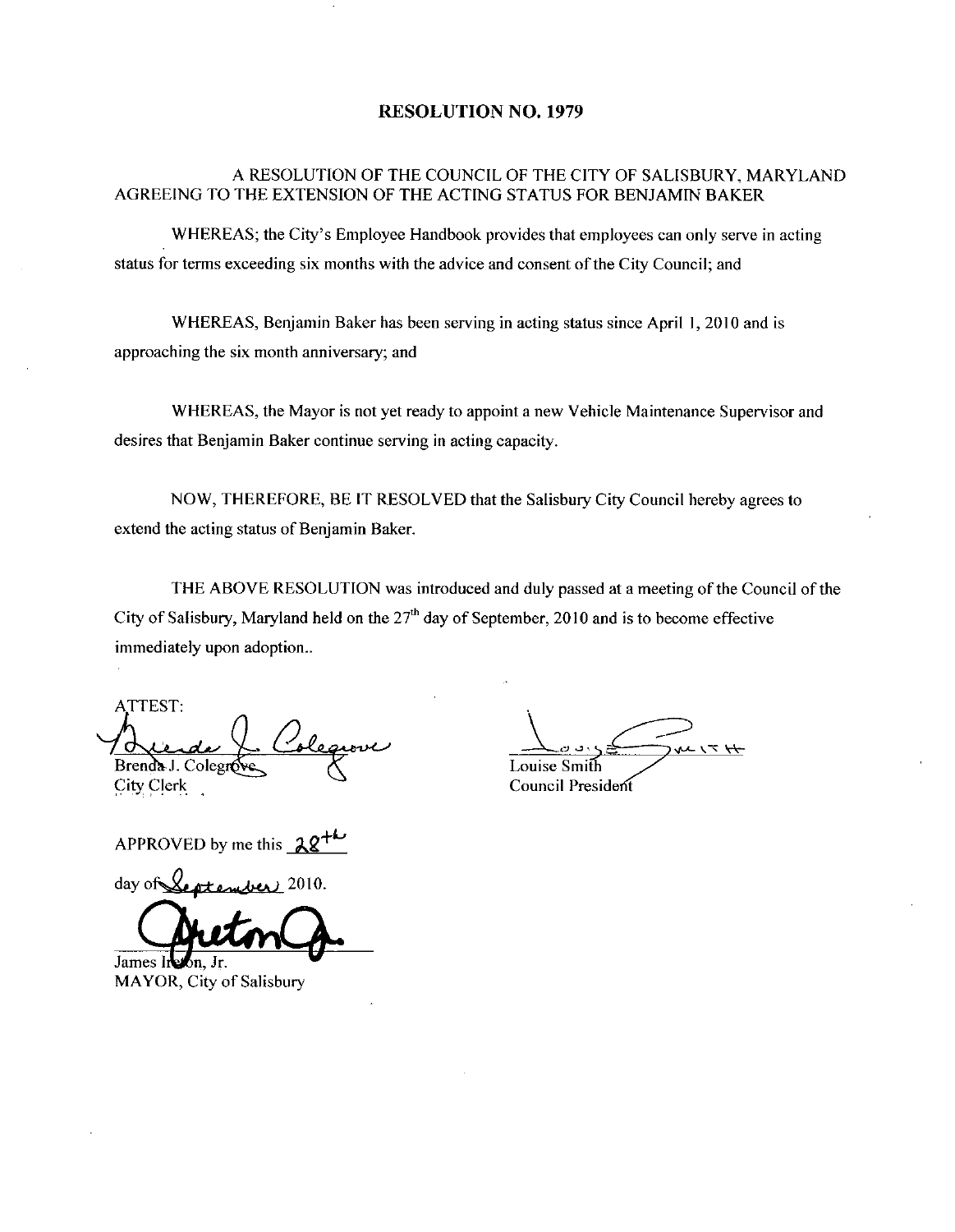### RESOLUTION NO. 1979

## A RESOLUTION OF THE COUNCIL OF THE CITY OF SALISBURY, MARYLAND AGREEING TO THE EXTENSION OF THE ACTING STATUS FOR BENJAMIN BAKER

WHEREAS; the City's Employee Handbook provides that employees can only serve in acting status for terms exceeding six months with the advice and consent of the City Council; and

WHEREAS, Benjamin Baker has been serving in acting status since April 1, 2010 and is approaching the six month anniversary; and

WHEREAS, the Mayor is not yet ready to appoint a new Vehicle Maintenance Supervisor and desires that Benjamin Baker continue serving in acting capacity

NOW, THEREFORE, BE IT RESOLVED that the Salisbury City Council hereby agrees to extend the acting status of Benjamin Baker.

THE ABOVE RESOLUTION was introduced and duly passed at a meeting of the Council of the City of Salisbury, Maryland held on the  $27<sup>th</sup>$  day of September, 2010 and is to become effective immediately upon adoption...

ATTEST مصر Brenda J. Colegro City Clerk ATTEST:<br>Brenda J. Colegroves Colege<br>City Clerk<br>APPROVED by me this 28<sup>+1</sup>

City Clerk<br>APPROVED by me this 28

James lieton, Jr.

MAYOR, City of Salisbury

.<br>م  $H \times I$ Louise Smith

Council President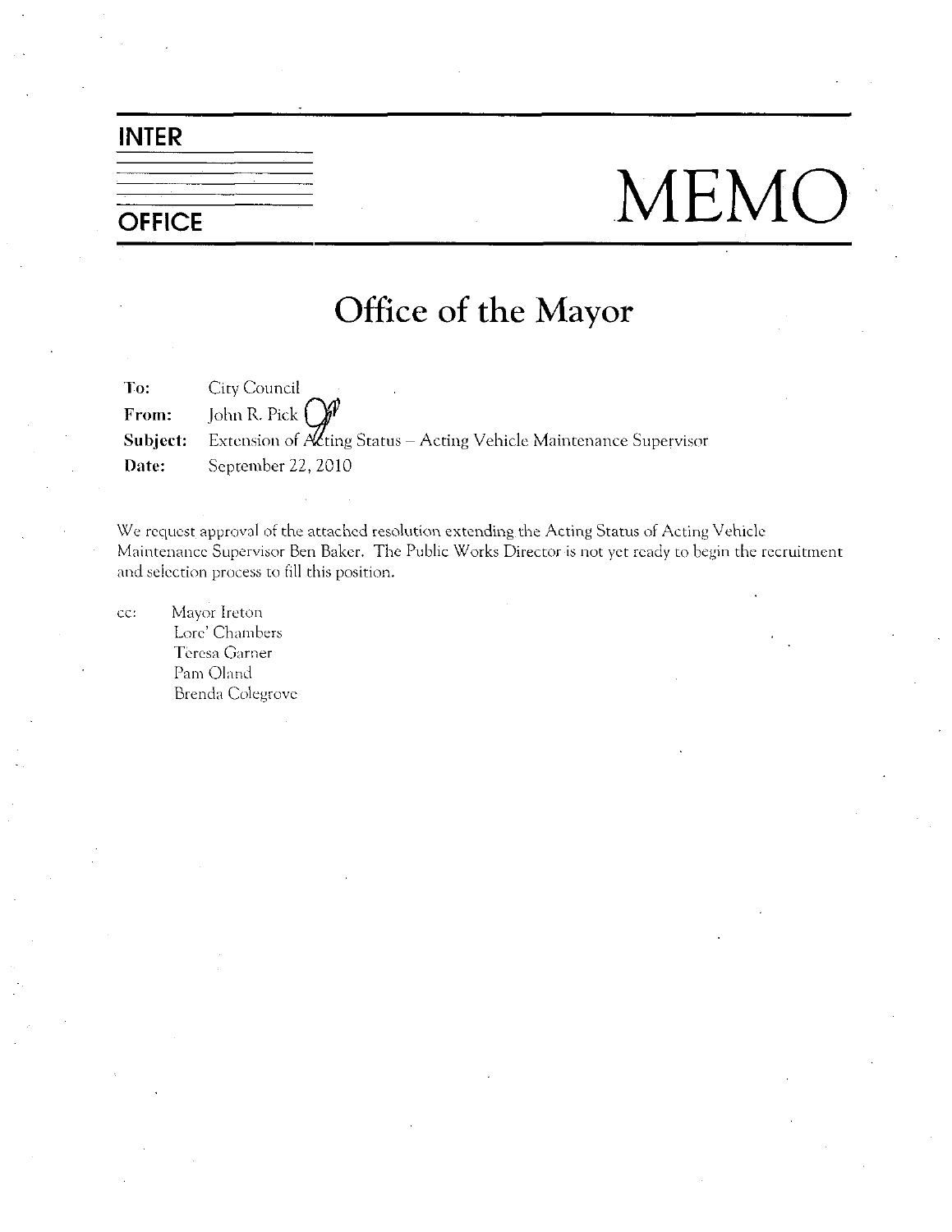## INTER

# OFFICE MEMO

## Office of the Mayor

To:<br>From: **City Council**<br>John R. Pick<br>Extension of From: John R. Pick **Subject:** Extension of  $A\mathcal{L}$ ting Status – Acting Vehicle Maintenance Supervisor Date: September 22, 2010

We request approval of the attached resolution extending the Acting Status of Acting Vehicle Maintenance Supervisor Ben Baker. The Public Works Director is not yet ready to begin the recruitment We request approval<br>Maintenance Supervi<br>and selection process and selection process to fill this position.

cc: Mayor Ireton Lore' Chambers Teresa Garner Pam Oland Brenda Colegrovc